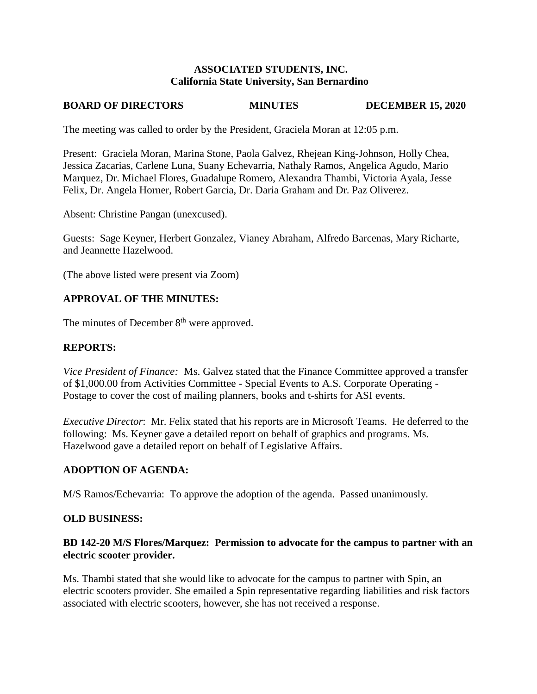#### **ASSOCIATED STUDENTS, INC. California State University, San Bernardino**

# **BOARD OF DIRECTORS MINUTES DECEMBER 15, 2020**

The meeting was called to order by the President, Graciela Moran at 12:05 p.m.

Present: Graciela Moran, Marina Stone, Paola Galvez, Rhejean King-Johnson, Holly Chea, Jessica Zacarias, Carlene Luna, Suany Echevarria, Nathaly Ramos, Angelica Agudo, Mario Marquez, Dr. Michael Flores, Guadalupe Romero, Alexandra Thambi, Victoria Ayala, Jesse Felix, Dr. Angela Horner, Robert Garcia, Dr. Daria Graham and Dr. Paz Oliverez.

Absent: Christine Pangan (unexcused).

Guests: Sage Keyner, Herbert Gonzalez, Vianey Abraham, Alfredo Barcenas, Mary Richarte, and Jeannette Hazelwood.

(The above listed were present via Zoom)

# **APPROVAL OF THE MINUTES:**

The minutes of December  $8<sup>th</sup>$  were approved.

# **REPORTS:**

*Vice President of Finance:* Ms. Galvez stated that the Finance Committee approved a transfer of \$1,000.00 from Activities Committee - Special Events to A.S. Corporate Operating - Postage to cover the cost of mailing planners, books and t-shirts for ASI events.

*Executive Director*: Mr. Felix stated that his reports are in Microsoft Teams. He deferred to the following: Ms. Keyner gave a detailed report on behalf of graphics and programs. Ms. Hazelwood gave a detailed report on behalf of Legislative Affairs.

# **ADOPTION OF AGENDA:**

M/S Ramos/Echevarria: To approve the adoption of the agenda. Passed unanimously.

#### **OLD BUSINESS:**

# **BD 142-20 M/S Flores/Marquez: Permission to advocate for the campus to partner with an electric scooter provider.**

Ms. Thambi stated that she would like to advocate for the campus to partner with Spin, an electric scooters provider. She emailed a Spin representative regarding liabilities and risk factors associated with electric scooters, however, she has not received a response.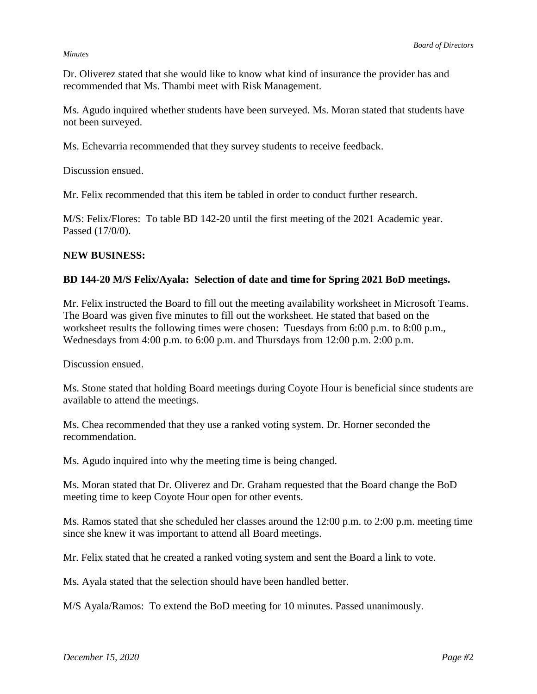#### *Minutes*

Dr. Oliverez stated that she would like to know what kind of insurance the provider has and recommended that Ms. Thambi meet with Risk Management.

Ms. Agudo inquired whether students have been surveyed. Ms. Moran stated that students have not been surveyed.

Ms. Echevarria recommended that they survey students to receive feedback.

Discussion ensued.

Mr. Felix recommended that this item be tabled in order to conduct further research.

M/S: Felix/Flores: To table BD 142-20 until the first meeting of the 2021 Academic year. Passed (17/0/0).

#### **NEW BUSINESS:**

#### **BD 144-20 M/S Felix/Ayala: Selection of date and time for Spring 2021 BoD meetings.**

Mr. Felix instructed the Board to fill out the meeting availability worksheet in Microsoft Teams. The Board was given five minutes to fill out the worksheet. He stated that based on the worksheet results the following times were chosen: Tuesdays from 6:00 p.m. to 8:00 p.m., Wednesdays from 4:00 p.m. to 6:00 p.m. and Thursdays from 12:00 p.m. 2:00 p.m.

Discussion ensued.

Ms. Stone stated that holding Board meetings during Coyote Hour is beneficial since students are available to attend the meetings.

Ms. Chea recommended that they use a ranked voting system. Dr. Horner seconded the recommendation.

Ms. Agudo inquired into why the meeting time is being changed.

Ms. Moran stated that Dr. Oliverez and Dr. Graham requested that the Board change the BoD meeting time to keep Coyote Hour open for other events.

Ms. Ramos stated that she scheduled her classes around the 12:00 p.m. to 2:00 p.m. meeting time since she knew it was important to attend all Board meetings.

Mr. Felix stated that he created a ranked voting system and sent the Board a link to vote.

Ms. Ayala stated that the selection should have been handled better.

M/S Ayala/Ramos: To extend the BoD meeting for 10 minutes. Passed unanimously.